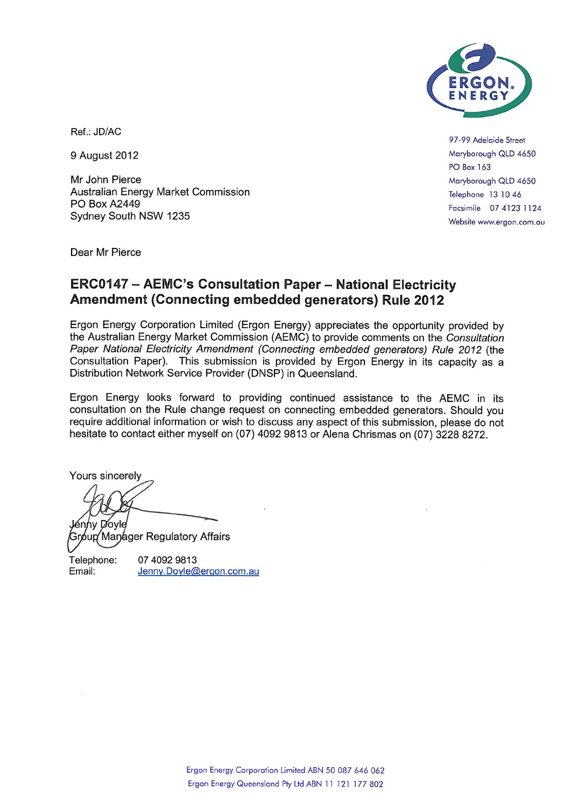

Ref.: JD/AC

9 August 2012

Mr John Pierce Australian Energy Market Commission **PO Box A2449** Sydney South NSW 1235

97-99 Adelaide Street Maryborough QLD 4650 **PO Box 163** Maryborough QLD 4650 Telephone 13 10 46 Facsimile 07 4123 1124 Website www.ergon.com.au

Dear Mr Pierce

### **ERC0147 - AEMC's Consultation Paper - National Electricity** Amendment (Connecting embedded generators) Rule 2012

Ergon Energy Corporation Limited (Ergon Energy) appreciates the opportunity provided by the Australian Energy Market Commission (AEMC) to provide comments on the Consultation Paper National Electricity Amendment (Connecting embedded generators) Rule 2012 (the Consultation Paper). This submission is provided by Ergon Energy in its capacity as a Distribution Network Service Provider (DNSP) in Queensland.

Ergon Energy looks forward to providing continued assistance to the AEMC in its consultation on the Rule change request on connecting embedded generators. Should you require additional information or wish to discuss any aspect of this submission, please do not hesitate to contact either myself on (07) 4092 9813 or Alena Chrismas on (07) 3228 8272.

Yours sincerely

ากγ Dovle

δup⁄ Maŋáger Regulatory Affairs

Telephone: 07 4092 9813 Email: Jenny.Doyle@ergon.com.au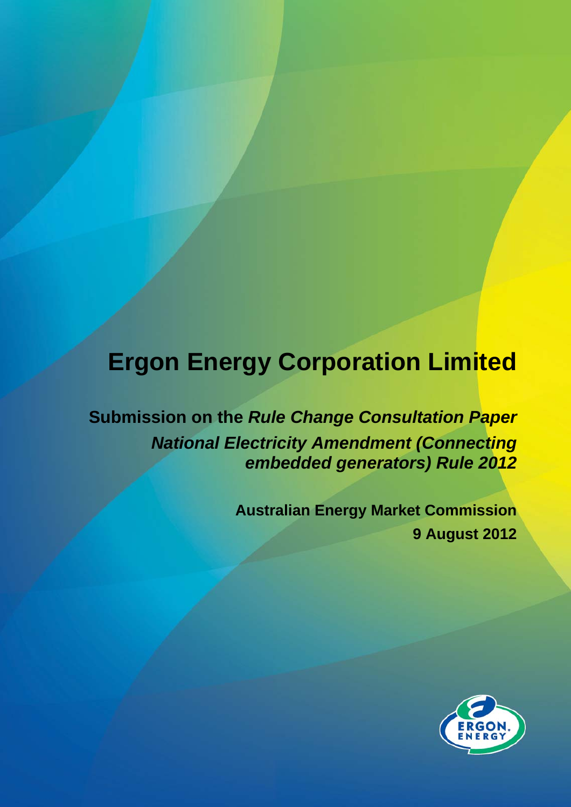# **Ergon Energy Corporation Limited**

**Submission on the** *Rule Change Consultation Paper National Electricity Amendment (Connecting embedded generators) Rule 2012*

> **Australian Energy Market Commission 9 August 2012**

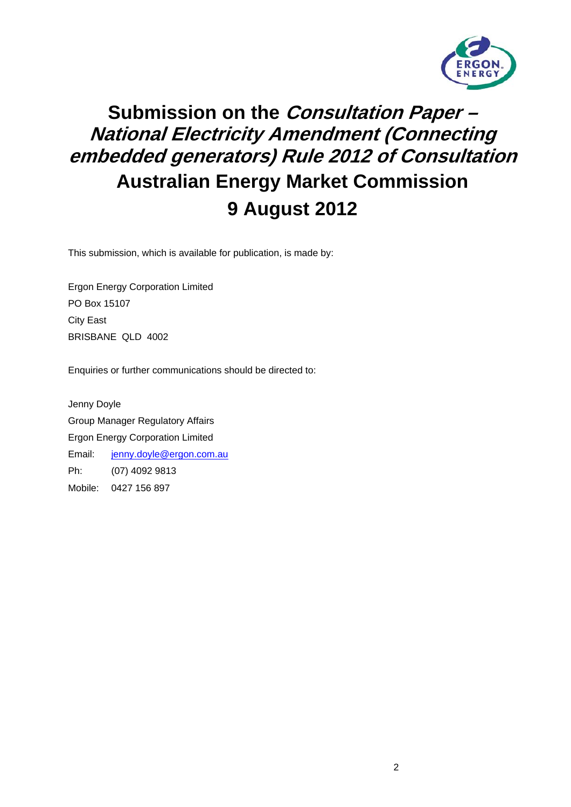

## **Submission on the Consultation Paper – National Electricity Amendment (Connecting embedded generators) Rule 2012 of Consultation Australian Energy Market Commission 9 August 2012**

This submission, which is available for publication, is made by:

Ergon Energy Corporation Limited PO Box 15107 City East BRISBANE QLD 4002

Enquiries or further communications should be directed to:

Jenny Doyle Group Manager Regulatory Affairs Ergon Energy Corporation Limited Email: [jenny.doyle@ergon.com.au](mailto:jenny.doyle@ergon.com.au) Ph: (07) 4092 9813 Mobile: 0427 156 897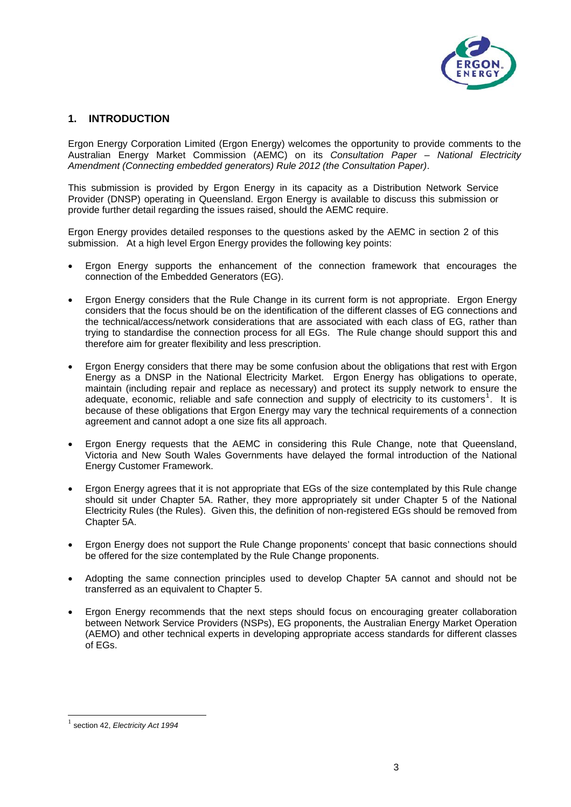

#### **1. INTRODUCTION**

Ergon Energy Corporation Limited (Ergon Energy) welcomes the opportunity to provide comments to the Australian Energy Market Commission (AEMC) on its *Consultation Paper – National Electricity Amendment (Connecting embedded generators) Rule 2012 (the Consultation Paper)*.

This submission is provided by Ergon Energy in its capacity as a Distribution Network Service Provider (DNSP) operating in Queensland. Ergon Energy is available to discuss this submission or provide further detail regarding the issues raised, should the AEMC require.

Ergon Energy provides detailed responses to the questions asked by the AEMC in section 2 of this submission. At a high level Ergon Energy provides the following key points:

- Ergon Energy supports the enhancement of the connection framework that encourages the connection of the Embedded Generators (EG).
- Ergon Energy considers that the Rule Change in its current form is not appropriate. Ergon Energy considers that the focus should be on the identification of the different classes of EG connections and the technical/access/network considerations that are associated with each class of EG, rather than trying to standardise the connection process for all EGs. The Rule change should support this and therefore aim for greater flexibility and less prescription.
- Ergon Energy considers that there may be some confusion about the obligations that rest with Ergon Energy as a DNSP in the National Electricity Market. Ergon Energy has obligations to operate, maintain (including repair and replace as necessary) and protect its supply network to ensure the adequate, economic, reliable and safe connection and supply of electricity to its customers<sup>[1](#page-3-0)</sup>. It is because of these obligations that Ergon Energy may vary the technical requirements of a connection agreement and cannot adopt a one size fits all approach.
- Ergon Energy requests that the AEMC in considering this Rule Change, note that Queensland, Victoria and New South Wales Governments have delayed the formal introduction of the National Energy Customer Framework.
- Ergon Energy agrees that it is not appropriate that EGs of the size contemplated by this Rule change should sit under Chapter 5A. Rather, they more appropriately sit under Chapter 5 of the National Electricity Rules (the Rules). Given this, the definition of non-registered EGs should be removed from Chapter 5A.
- Ergon Energy does not support the Rule Change proponents' concept that basic connections should be offered for the size contemplated by the Rule Change proponents.
- Adopting the same connection principles used to develop Chapter 5A cannot and should not be transferred as an equivalent to Chapter 5.
- Ergon Energy recommends that the next steps should focus on encouraging greater collaboration between Network Service Providers (NSPs), EG proponents, the Australian Energy Market Operation (AEMO) and other technical experts in developing appropriate access standards for different classes of EGs.

<span id="page-3-0"></span>l

section 42, *Electricity Act 1994*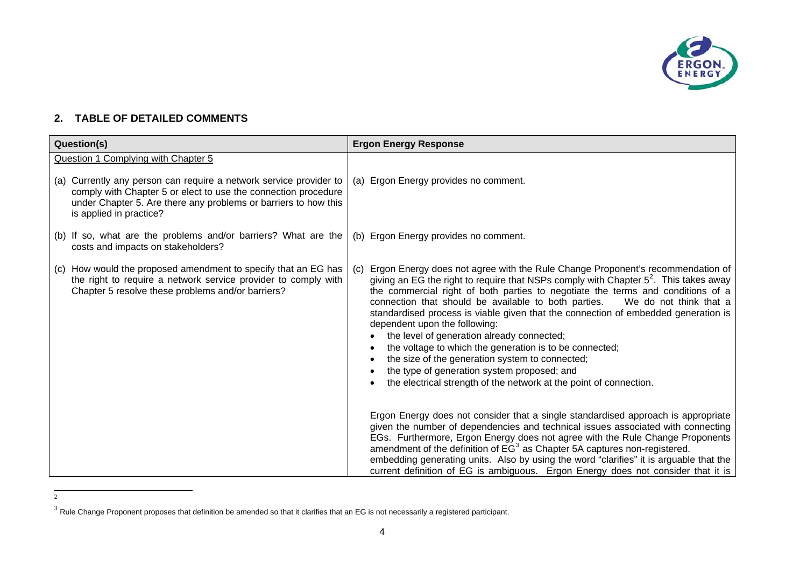

### **2. TABLE OF DETAILED COMMENTS**

<span id="page-4-0"></span>2

| Question(s)                                                                                                                                                                                                                                                               | <b>Ergon Energy Response</b>                                                                                                                                                                                                                                                                                                                                                                                                                                                                                                                                                                                                                                                                                                                                  |
|---------------------------------------------------------------------------------------------------------------------------------------------------------------------------------------------------------------------------------------------------------------------------|---------------------------------------------------------------------------------------------------------------------------------------------------------------------------------------------------------------------------------------------------------------------------------------------------------------------------------------------------------------------------------------------------------------------------------------------------------------------------------------------------------------------------------------------------------------------------------------------------------------------------------------------------------------------------------------------------------------------------------------------------------------|
| Question 1 Complying with Chapter 5<br>(a) Currently any person can require a network service provider to<br>comply with Chapter 5 or elect to use the connection procedure<br>under Chapter 5. Are there any problems or barriers to how this<br>is applied in practice? | (a) Ergon Energy provides no comment.                                                                                                                                                                                                                                                                                                                                                                                                                                                                                                                                                                                                                                                                                                                         |
| (b) If so, what are the problems and/or barriers? What are the<br>costs and impacts on stakeholders?                                                                                                                                                                      | (b) Ergon Energy provides no comment.                                                                                                                                                                                                                                                                                                                                                                                                                                                                                                                                                                                                                                                                                                                         |
| (c) How would the proposed amendment to specify that an EG has<br>the right to require a network service provider to comply with<br>Chapter 5 resolve these problems and/or barriers?                                                                                     | Ergon Energy does not agree with the Rule Change Proponent's recommendation of<br>(C)<br>giving an EG the right to require that NSPs comply with Chapter $5^2$ . This takes away<br>the commercial right of both parties to negotiate the terms and conditions of a<br>connection that should be available to both parties.<br>We do not think that a<br>standardised process is viable given that the connection of embedded generation is<br>dependent upon the following:<br>the level of generation already connected;<br>the voltage to which the generation is to be connected;<br>the size of the generation system to connected;<br>the type of generation system proposed; and<br>the electrical strength of the network at the point of connection. |
|                                                                                                                                                                                                                                                                           | Ergon Energy does not consider that a single standardised approach is appropriate<br>given the number of dependencies and technical issues associated with connecting<br>EGs. Furthermore, Ergon Energy does not agree with the Rule Change Proponents<br>amendment of the definition of EG <sup>3</sup> as Chapter 5A captures non-registered.<br>embedding generating units. Also by using the word "clarifies" it is arguable that the<br>current definition of EG is ambiguous. Ergon Energy does not consider that it is                                                                                                                                                                                                                                 |

<span id="page-4-1"></span> $^3$  Rule Change Proponent proposes that definition be amended so that it clarifies that an EG is not necessarily a registered participant.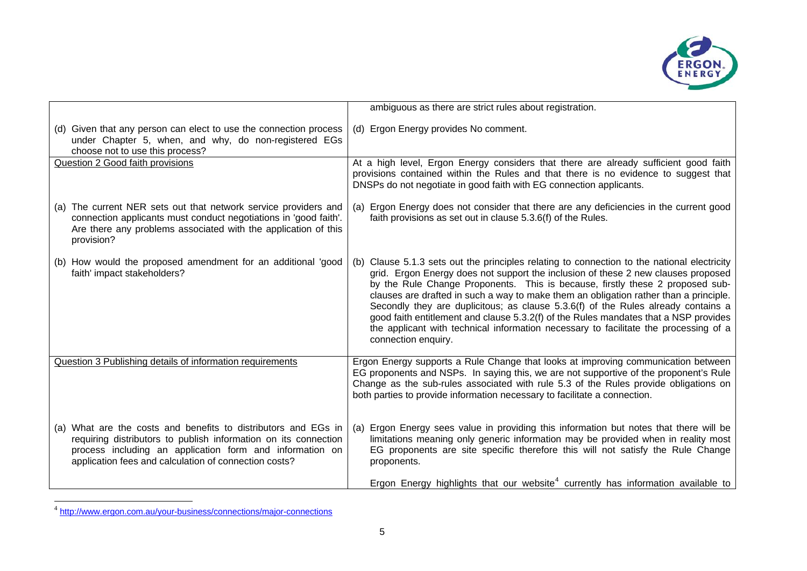

|                                                                                                                                                                                                                                                        | ambiguous as there are strict rules about registration.                                                                                                                                                                                                                                                                                                                                                                                                                                                                                                                                                                                                |
|--------------------------------------------------------------------------------------------------------------------------------------------------------------------------------------------------------------------------------------------------------|--------------------------------------------------------------------------------------------------------------------------------------------------------------------------------------------------------------------------------------------------------------------------------------------------------------------------------------------------------------------------------------------------------------------------------------------------------------------------------------------------------------------------------------------------------------------------------------------------------------------------------------------------------|
| (d) Given that any person can elect to use the connection process<br>under Chapter 5, when, and why, do non-registered EGs<br>choose not to use this process?                                                                                          | (d) Ergon Energy provides No comment.                                                                                                                                                                                                                                                                                                                                                                                                                                                                                                                                                                                                                  |
| Question 2 Good faith provisions                                                                                                                                                                                                                       | At a high level, Ergon Energy considers that there are already sufficient good faith<br>provisions contained within the Rules and that there is no evidence to suggest that<br>DNSPs do not negotiate in good faith with EG connection applicants.                                                                                                                                                                                                                                                                                                                                                                                                     |
| (a) The current NER sets out that network service providers and<br>connection applicants must conduct negotiations in 'good faith'.<br>Are there any problems associated with the application of this<br>provision?                                    | (a) Ergon Energy does not consider that there are any deficiencies in the current good<br>faith provisions as set out in clause 5.3.6(f) of the Rules.                                                                                                                                                                                                                                                                                                                                                                                                                                                                                                 |
| (b) How would the proposed amendment for an additional 'good<br>faith' impact stakeholders?                                                                                                                                                            | (b) Clause 5.1.3 sets out the principles relating to connection to the national electricity<br>grid. Ergon Energy does not support the inclusion of these 2 new clauses proposed<br>by the Rule Change Proponents. This is because, firstly these 2 proposed sub-<br>clauses are drafted in such a way to make them an obligation rather than a principle.<br>Secondly they are duplicitous; as clause 5.3.6(f) of the Rules already contains a<br>good faith entitlement and clause 5.3.2(f) of the Rules mandates that a NSP provides<br>the applicant with technical information necessary to facilitate the processing of a<br>connection enquiry. |
| Question 3 Publishing details of information requirements                                                                                                                                                                                              | Ergon Energy supports a Rule Change that looks at improving communication between<br>EG proponents and NSPs. In saying this, we are not supportive of the proponent's Rule<br>Change as the sub-rules associated with rule 5.3 of the Rules provide obligations on<br>both parties to provide information necessary to facilitate a connection.                                                                                                                                                                                                                                                                                                        |
| (a) What are the costs and benefits to distributors and EGs in<br>requiring distributors to publish information on its connection<br>process including an application form and information on<br>application fees and calculation of connection costs? | Ergon Energy sees value in providing this information but notes that there will be<br>(a)<br>limitations meaning only generic information may be provided when in reality most<br>EG proponents are site specific therefore this will not satisfy the Rule Change<br>proponents.                                                                                                                                                                                                                                                                                                                                                                       |
|                                                                                                                                                                                                                                                        | Ergon Energy highlights that our website <sup>4</sup> currently has information available to                                                                                                                                                                                                                                                                                                                                                                                                                                                                                                                                                           |

<span id="page-5-0"></span><sup>&</sup>lt;sup>4</sup> <http://www.ergon.com.au/your-business/connections/major-connections>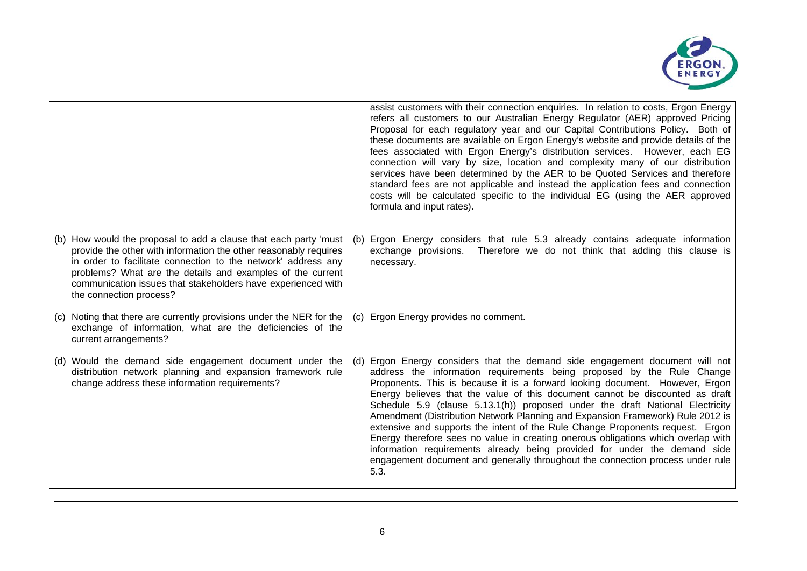

|                                                                                                                                                                                                                                                                                                                                                                |     | assist customers with their connection enquiries. In relation to costs, Ergon Energy<br>refers all customers to our Australian Energy Regulator (AER) approved Pricing<br>Proposal for each regulatory year and our Capital Contributions Policy. Both of<br>these documents are available on Ergon Energy's website and provide details of the<br>fees associated with Ergon Energy's distribution services. However, each EG<br>connection will vary by size, location and complexity many of our distribution<br>services have been determined by the AER to be Quoted Services and therefore<br>standard fees are not applicable and instead the application fees and connection<br>costs will be calculated specific to the individual EG (using the AER approved<br>formula and input rates).                                  |
|----------------------------------------------------------------------------------------------------------------------------------------------------------------------------------------------------------------------------------------------------------------------------------------------------------------------------------------------------------------|-----|--------------------------------------------------------------------------------------------------------------------------------------------------------------------------------------------------------------------------------------------------------------------------------------------------------------------------------------------------------------------------------------------------------------------------------------------------------------------------------------------------------------------------------------------------------------------------------------------------------------------------------------------------------------------------------------------------------------------------------------------------------------------------------------------------------------------------------------|
| (b) How would the proposal to add a clause that each party 'must<br>provide the other with information the other reasonably requires<br>in order to facilitate connection to the network' address any<br>problems? What are the details and examples of the current<br>communication issues that stakeholders have experienced with<br>the connection process? | (b) | Ergon Energy considers that rule 5.3 already contains adequate information<br>exchange provisions. Therefore we do not think that adding this clause is<br>necessary.                                                                                                                                                                                                                                                                                                                                                                                                                                                                                                                                                                                                                                                                |
| (c) Noting that there are currently provisions under the NER for the<br>exchange of information, what are the deficiencies of the<br>current arrangements?                                                                                                                                                                                                     | (c) | Ergon Energy provides no comment.                                                                                                                                                                                                                                                                                                                                                                                                                                                                                                                                                                                                                                                                                                                                                                                                    |
| (d) Would the demand side engagement document under the<br>distribution network planning and expansion framework rule<br>change address these information requirements?                                                                                                                                                                                        | (d) | Ergon Energy considers that the demand side engagement document will not<br>address the information requirements being proposed by the Rule Change<br>Proponents. This is because it is a forward looking document. However, Ergon<br>Energy believes that the value of this document cannot be discounted as draft<br>Schedule 5.9 (clause 5.13.1(h)) proposed under the draft National Electricity<br>Amendment (Distribution Network Planning and Expansion Framework) Rule 2012 is<br>extensive and supports the intent of the Rule Change Proponents request. Ergon<br>Energy therefore sees no value in creating onerous obligations which overlap with<br>information requirements already being provided for under the demand side<br>engagement document and generally throughout the connection process under rule<br>5.3. |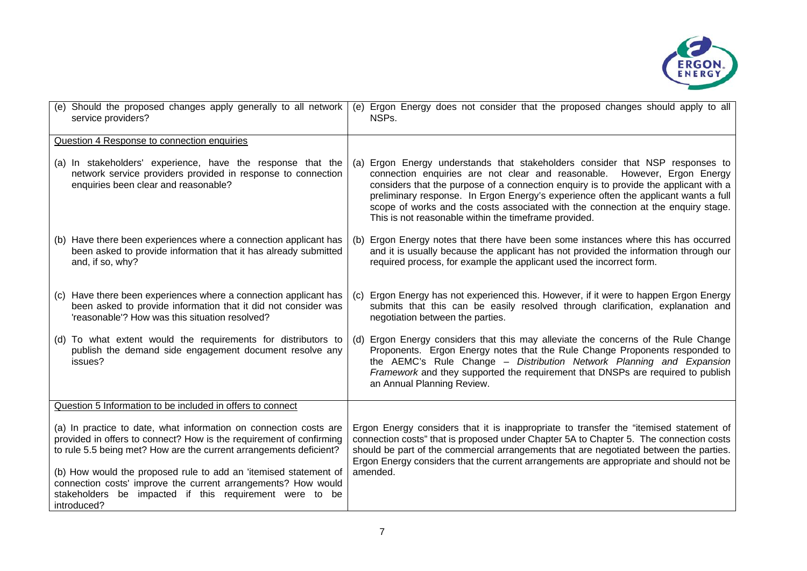

| (e) Should the proposed changes apply generally to all network<br>service providers?                                                                                                                                                                                                                                                                                                                                          | (e) Ergon Energy does not consider that the proposed changes should apply to all<br>NSPs.                                                                                                                                                                                                                                                                                                                                                                                               |
|-------------------------------------------------------------------------------------------------------------------------------------------------------------------------------------------------------------------------------------------------------------------------------------------------------------------------------------------------------------------------------------------------------------------------------|-----------------------------------------------------------------------------------------------------------------------------------------------------------------------------------------------------------------------------------------------------------------------------------------------------------------------------------------------------------------------------------------------------------------------------------------------------------------------------------------|
| Question 4 Response to connection enquiries                                                                                                                                                                                                                                                                                                                                                                                   |                                                                                                                                                                                                                                                                                                                                                                                                                                                                                         |
| (a) In stakeholders' experience, have the response that the<br>network service providers provided in response to connection<br>enquiries been clear and reasonable?                                                                                                                                                                                                                                                           | (a) Ergon Energy understands that stakeholders consider that NSP responses to<br>connection enquiries are not clear and reasonable. However, Ergon Energy<br>considers that the purpose of a connection enquiry is to provide the applicant with a<br>preliminary response. In Ergon Energy's experience often the applicant wants a full<br>scope of works and the costs associated with the connection at the enquiry stage.<br>This is not reasonable within the timeframe provided. |
| (b) Have there been experiences where a connection applicant has<br>been asked to provide information that it has already submitted<br>and, if so, why?                                                                                                                                                                                                                                                                       | Ergon Energy notes that there have been some instances where this has occurred<br>(b)<br>and it is usually because the applicant has not provided the information through our<br>required process, for example the applicant used the incorrect form.                                                                                                                                                                                                                                   |
| (c) Have there been experiences where a connection applicant has<br>been asked to provide information that it did not consider was<br>'reasonable'? How was this situation resolved?                                                                                                                                                                                                                                          | Ergon Energy has not experienced this. However, if it were to happen Ergon Energy<br>(C)<br>submits that this can be easily resolved through clarification, explanation and<br>negotiation between the parties.                                                                                                                                                                                                                                                                         |
| (d) To what extent would the requirements for distributors to<br>publish the demand side engagement document resolve any<br>issues?                                                                                                                                                                                                                                                                                           | (d) Ergon Energy considers that this may alleviate the concerns of the Rule Change<br>Proponents. Ergon Energy notes that the Rule Change Proponents responded to<br>the AEMC's Rule Change - Distribution Network Planning and Expansion<br>Framework and they supported the requirement that DNSPs are required to publish<br>an Annual Planning Review.                                                                                                                              |
| Question 5 Information to be included in offers to connect                                                                                                                                                                                                                                                                                                                                                                    |                                                                                                                                                                                                                                                                                                                                                                                                                                                                                         |
| (a) In practice to date, what information on connection costs are<br>provided in offers to connect? How is the requirement of confirming<br>to rule 5.5 being met? How are the current arrangements deficient?<br>(b) How would the proposed rule to add an 'itemised statement of<br>connection costs' improve the current arrangements? How would<br>stakeholders be impacted if this requirement were to be<br>introduced? | Ergon Energy considers that it is inappropriate to transfer the "itemised statement of<br>connection costs" that is proposed under Chapter 5A to Chapter 5. The connection costs<br>should be part of the commercial arrangements that are negotiated between the parties.<br>Ergon Energy considers that the current arrangements are appropriate and should not be<br>amended.                                                                                                        |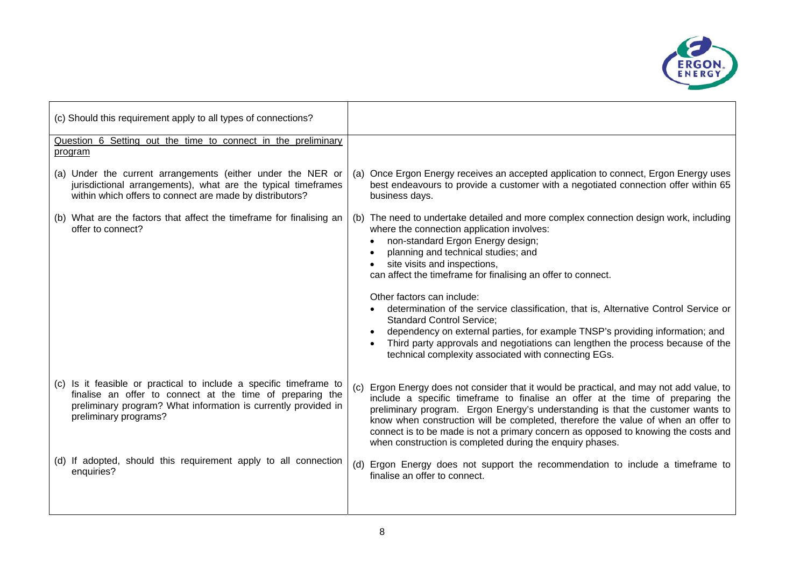

| (c) Should this requirement apply to all types of connections?                                                                                                                                                             |                                                                                                                                                                                                                                                                                                                                                                                                                                                                                                                                                                                                                                                                                                         |
|----------------------------------------------------------------------------------------------------------------------------------------------------------------------------------------------------------------------------|---------------------------------------------------------------------------------------------------------------------------------------------------------------------------------------------------------------------------------------------------------------------------------------------------------------------------------------------------------------------------------------------------------------------------------------------------------------------------------------------------------------------------------------------------------------------------------------------------------------------------------------------------------------------------------------------------------|
| Question 6 Setting out the time to connect in the preliminary<br>program                                                                                                                                                   |                                                                                                                                                                                                                                                                                                                                                                                                                                                                                                                                                                                                                                                                                                         |
| (a) Under the current arrangements (either under the NER or<br>jurisdictional arrangements), what are the typical timeframes<br>within which offers to connect are made by distributors?                                   | Once Ergon Energy receives an accepted application to connect, Ergon Energy uses<br>(a)<br>best endeavours to provide a customer with a negotiated connection offer within 65<br>business days.                                                                                                                                                                                                                                                                                                                                                                                                                                                                                                         |
| (b) What are the factors that affect the timeframe for finalising an<br>offer to connect?                                                                                                                                  | The need to undertake detailed and more complex connection design work, including<br>(b)<br>where the connection application involves:<br>non-standard Ergon Energy design;<br>planning and technical studies; and<br>site visits and inspections,<br>can affect the timeframe for finalising an offer to connect.<br>Other factors can include:<br>determination of the service classification, that is, Alternative Control Service or<br><b>Standard Control Service:</b><br>dependency on external parties, for example TNSP's providing information; and<br>Third party approvals and negotiations can lengthen the process because of the<br>technical complexity associated with connecting EGs. |
| (c) Is it feasible or practical to include a specific timeframe to<br>finalise an offer to connect at the time of preparing the<br>preliminary program? What information is currently provided in<br>preliminary programs? | Ergon Energy does not consider that it would be practical, and may not add value, to<br>(c)<br>include a specific timeframe to finalise an offer at the time of preparing the<br>preliminary program. Ergon Energy's understanding is that the customer wants to<br>know when construction will be completed, therefore the value of when an offer to<br>connect is to be made is not a primary concern as opposed to knowing the costs and<br>when construction is completed during the enquiry phases.                                                                                                                                                                                                |
| (d) If adopted, should this requirement apply to all connection<br>enquiries?                                                                                                                                              | (d) Ergon Energy does not support the recommendation to include a timeframe to<br>finalise an offer to connect.                                                                                                                                                                                                                                                                                                                                                                                                                                                                                                                                                                                         |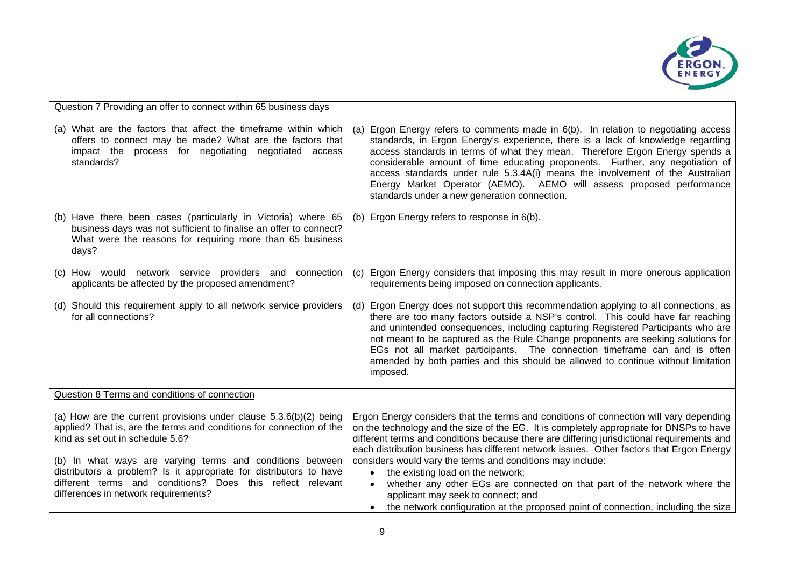

| Question 7 Providing an offer to connect within 65 business days                                                                                                                                                                                                                                                   |                                                                                                                                                                                                                                                                                                                                                                                                                                                                                                                                                     |
|--------------------------------------------------------------------------------------------------------------------------------------------------------------------------------------------------------------------------------------------------------------------------------------------------------------------|-----------------------------------------------------------------------------------------------------------------------------------------------------------------------------------------------------------------------------------------------------------------------------------------------------------------------------------------------------------------------------------------------------------------------------------------------------------------------------------------------------------------------------------------------------|
| (a) What are the factors that affect the timeframe within which<br>offers to connect may be made? What are the factors that<br>impact the process for negotiating negotiated access<br>standards?                                                                                                                  | Ergon Energy refers to comments made in 6(b). In relation to negotiating access<br>(a)<br>standards, in Ergon Energy's experience, there is a lack of knowledge regarding<br>access standards in terms of what they mean. Therefore Ergon Energy spends a<br>considerable amount of time educating proponents. Further, any negotiation of<br>access standards under rule 5.3.4A(i) means the involvement of the Australian<br>Energy Market Operator (AEMO). AEMO will assess proposed performance<br>standards under a new generation connection. |
| (b) Have there been cases (particularly in Victoria) where 65<br>business days was not sufficient to finalise an offer to connect?<br>What were the reasons for requiring more than 65 business<br>days?                                                                                                           | (b) Ergon Energy refers to response in 6(b).                                                                                                                                                                                                                                                                                                                                                                                                                                                                                                        |
| (c) How would network service providers and connection<br>applicants be affected by the proposed amendment?                                                                                                                                                                                                        | Ergon Energy considers that imposing this may result in more onerous application<br>(C)<br>requirements being imposed on connection applicants.                                                                                                                                                                                                                                                                                                                                                                                                     |
| (d) Should this requirement apply to all network service providers<br>for all connections?                                                                                                                                                                                                                         | Ergon Energy does not support this recommendation applying to all connections, as<br>(d)<br>there are too many factors outside a NSP's control. This could have far reaching<br>and unintended consequences, including capturing Registered Participants who are<br>not meant to be captured as the Rule Change proponents are seeking solutions for<br>EGs not all market participants. The connection timeframe can and is often<br>amended by both parties and this should be allowed to continue without limitation<br>imposed.                 |
| Question 8 Terms and conditions of connection                                                                                                                                                                                                                                                                      |                                                                                                                                                                                                                                                                                                                                                                                                                                                                                                                                                     |
| (a) How are the current provisions under clause $5.3.6(b)(2)$ being<br>applied? That is, are the terms and conditions for connection of the<br>kind as set out in schedule 5.6?<br>(b) In what ways are varying terms and conditions between<br>distributors a problem? Is it appropriate for distributors to have | Ergon Energy considers that the terms and conditions of connection will vary depending<br>on the technology and the size of the EG. It is completely appropriate for DNSPs to have<br>different terms and conditions because there are differing jurisdictional requirements and<br>each distribution business has different network issues. Other factors that Ergon Energy<br>considers would vary the terms and conditions may include:<br>the existing load on the network;<br>$\bullet$                                                        |
| different terms and conditions? Does this reflect relevant<br>differences in network requirements?                                                                                                                                                                                                                 | whether any other EGs are connected on that part of the network where the<br>applicant may seek to connect; and<br>the network configuration at the proposed point of connection, including the size                                                                                                                                                                                                                                                                                                                                                |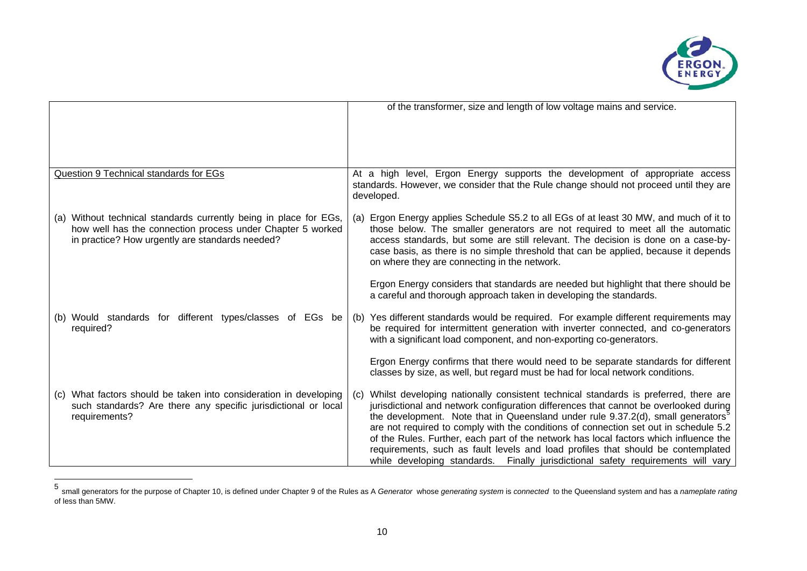

|                                                                                                                                                                                    |     | of the transformer, size and length of low voltage mains and service.                                                                                                                                                                                                                                                                                                                                                                                                                                                                                                                                                                    |
|------------------------------------------------------------------------------------------------------------------------------------------------------------------------------------|-----|------------------------------------------------------------------------------------------------------------------------------------------------------------------------------------------------------------------------------------------------------------------------------------------------------------------------------------------------------------------------------------------------------------------------------------------------------------------------------------------------------------------------------------------------------------------------------------------------------------------------------------------|
| Question 9 Technical standards for EGs                                                                                                                                             |     | At a high level, Ergon Energy supports the development of appropriate access<br>standards. However, we consider that the Rule change should not proceed until they are<br>developed.                                                                                                                                                                                                                                                                                                                                                                                                                                                     |
| (a) Without technical standards currently being in place for EGs,<br>how well has the connection process under Chapter 5 worked<br>in practice? How urgently are standards needed? | (a) | Ergon Energy applies Schedule S5.2 to all EGs of at least 30 MW, and much of it to<br>those below. The smaller generators are not required to meet all the automatic<br>access standards, but some are still relevant. The decision is done on a case-by-<br>case basis, as there is no simple threshold that can be applied, because it depends<br>on where they are connecting in the network.                                                                                                                                                                                                                                         |
|                                                                                                                                                                                    |     | Ergon Energy considers that standards are needed but highlight that there should be<br>a careful and thorough approach taken in developing the standards.                                                                                                                                                                                                                                                                                                                                                                                                                                                                                |
| (b) Would standards for different types/classes of EGs be<br>required?                                                                                                             |     | (b) Yes different standards would be required. For example different requirements may<br>be required for intermittent generation with inverter connected, and co-generators<br>with a significant load component, and non-exporting co-generators.                                                                                                                                                                                                                                                                                                                                                                                       |
|                                                                                                                                                                                    |     | Ergon Energy confirms that there would need to be separate standards for different<br>classes by size, as well, but regard must be had for local network conditions.                                                                                                                                                                                                                                                                                                                                                                                                                                                                     |
| (c) What factors should be taken into consideration in developing<br>such standards? Are there any specific jurisdictional or local<br>requirements?                               | (C) | Whilst developing nationally consistent technical standards is preferred, there are<br>jurisdictional and network configuration differences that cannot be overlooked during<br>the development. Note that in Queensland under rule $9.37.2(d)$ , small generators <sup>5</sup><br>are not required to comply with the conditions of connection set out in schedule 5.2<br>of the Rules. Further, each part of the network has local factors which influence the<br>requirements, such as fault levels and load profiles that should be contemplated<br>while developing standards. Finally jurisdictional safety requirements will vary |

<span id="page-10-0"></span><sup>5</sup> small generators for the purpose of Chapter 10, is defined under Chapter 9 of the Rules as A *Generator* whose *generating system* is *connected* to the Queensland system and has a *nameplate rating*  of less than 5MW.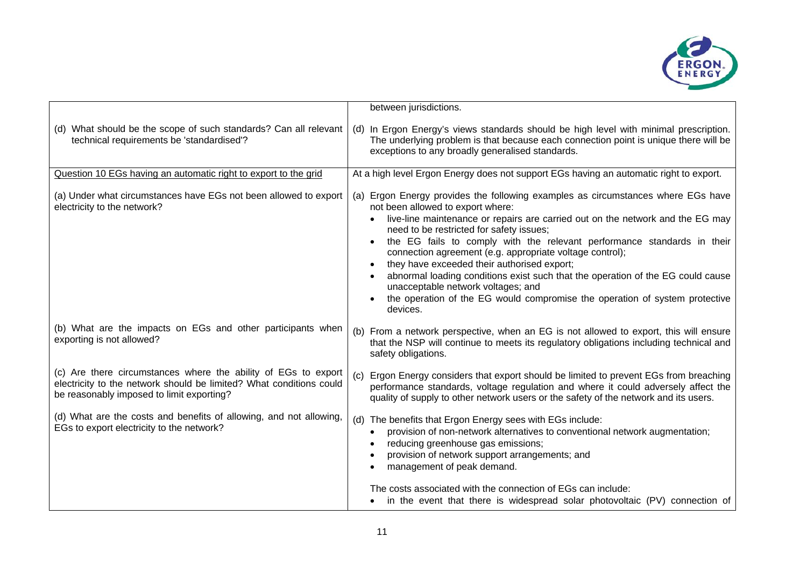

|                                                                                                                                                                                    | between jurisdictions.                                                                                                                                                                                                                                                                                                                                                                                                                                                                                                                                                                                                                                                     |
|------------------------------------------------------------------------------------------------------------------------------------------------------------------------------------|----------------------------------------------------------------------------------------------------------------------------------------------------------------------------------------------------------------------------------------------------------------------------------------------------------------------------------------------------------------------------------------------------------------------------------------------------------------------------------------------------------------------------------------------------------------------------------------------------------------------------------------------------------------------------|
| (d) What should be the scope of such standards? Can all relevant<br>technical requirements be 'standardised'?                                                                      | (d) In Ergon Energy's views standards should be high level with minimal prescription.<br>The underlying problem is that because each connection point is unique there will be<br>exceptions to any broadly generalised standards.                                                                                                                                                                                                                                                                                                                                                                                                                                          |
| Question 10 EGs having an automatic right to export to the grid                                                                                                                    | At a high level Ergon Energy does not support EGs having an automatic right to export.                                                                                                                                                                                                                                                                                                                                                                                                                                                                                                                                                                                     |
| (a) Under what circumstances have EGs not been allowed to export<br>electricity to the network?                                                                                    | (a) Ergon Energy provides the following examples as circumstances where EGs have<br>not been allowed to export where:<br>live-line maintenance or repairs are carried out on the network and the EG may<br>$\bullet$<br>need to be restricted for safety issues;<br>the EG fails to comply with the relevant performance standards in their<br>connection agreement (e.g. appropriate voltage control);<br>they have exceeded their authorised export;<br>abnormal loading conditions exist such that the operation of the EG could cause<br>unacceptable network voltages; and<br>the operation of the EG would compromise the operation of system protective<br>devices. |
| (b) What are the impacts on EGs and other participants when<br>exporting is not allowed?                                                                                           | (b) From a network perspective, when an EG is not allowed to export, this will ensure<br>that the NSP will continue to meets its regulatory obligations including technical and<br>safety obligations.                                                                                                                                                                                                                                                                                                                                                                                                                                                                     |
| (c) Are there circumstances where the ability of EGs to export<br>electricity to the network should be limited? What conditions could<br>be reasonably imposed to limit exporting? | Ergon Energy considers that export should be limited to prevent EGs from breaching<br>performance standards, voltage regulation and where it could adversely affect the<br>quality of supply to other network users or the safety of the network and its users.                                                                                                                                                                                                                                                                                                                                                                                                            |
| (d) What are the costs and benefits of allowing, and not allowing,<br>EGs to export electricity to the network?                                                                    | (d) The benefits that Ergon Energy sees with EGs include:<br>provision of non-network alternatives to conventional network augmentation;<br>$\bullet$<br>reducing greenhouse gas emissions;<br>provision of network support arrangements; and<br>management of peak demand.                                                                                                                                                                                                                                                                                                                                                                                                |
|                                                                                                                                                                                    | The costs associated with the connection of EGs can include:<br>in the event that there is widespread solar photovoltaic (PV) connection of                                                                                                                                                                                                                                                                                                                                                                                                                                                                                                                                |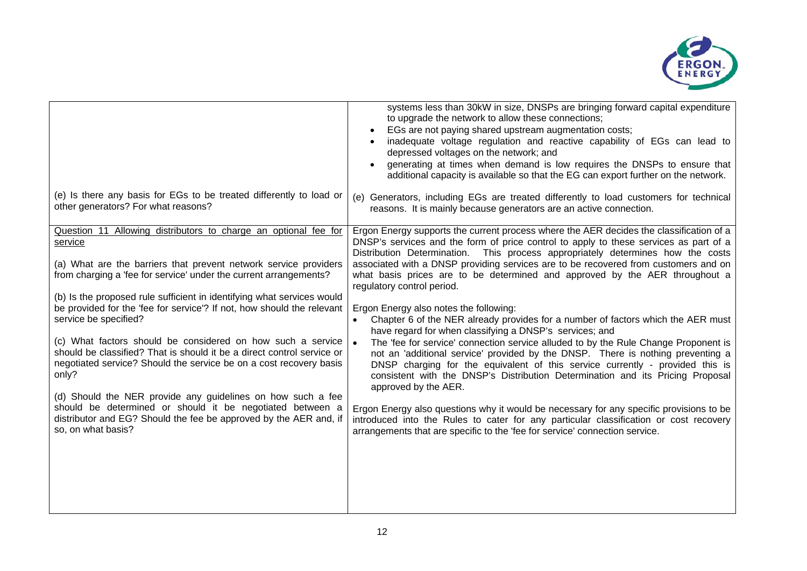

| (e) Is there any basis for EGs to be treated differently to load or<br>other generators? For what reasons?                                                                                                                                                                                                                                                                                                                                                                                                                                                                                                                                                                                                                                                                                                                                      | systems less than 30kW in size, DNSPs are bringing forward capital expenditure<br>to upgrade the network to allow these connections;<br>EGs are not paying shared upstream augmentation costs;<br>inadequate voltage regulation and reactive capability of EGs can lead to<br>depressed voltages on the network; and<br>generating at times when demand is low requires the DNSPs to ensure that<br>additional capacity is available so that the EG can export further on the network.<br>(e) Generators, including EGs are treated differently to load customers for technical<br>reasons. It is mainly because generators are an active connection.                                                                                                                                                                                                                                                                                                                                                                                                                                                                                                                                                                                                                                                    |
|-------------------------------------------------------------------------------------------------------------------------------------------------------------------------------------------------------------------------------------------------------------------------------------------------------------------------------------------------------------------------------------------------------------------------------------------------------------------------------------------------------------------------------------------------------------------------------------------------------------------------------------------------------------------------------------------------------------------------------------------------------------------------------------------------------------------------------------------------|----------------------------------------------------------------------------------------------------------------------------------------------------------------------------------------------------------------------------------------------------------------------------------------------------------------------------------------------------------------------------------------------------------------------------------------------------------------------------------------------------------------------------------------------------------------------------------------------------------------------------------------------------------------------------------------------------------------------------------------------------------------------------------------------------------------------------------------------------------------------------------------------------------------------------------------------------------------------------------------------------------------------------------------------------------------------------------------------------------------------------------------------------------------------------------------------------------------------------------------------------------------------------------------------------------|
| Question 11 Allowing distributors to charge an optional fee for<br>service<br>(a) What are the barriers that prevent network service providers<br>from charging a 'fee for service' under the current arrangements?<br>(b) Is the proposed rule sufficient in identifying what services would<br>be provided for the 'fee for service'? If not, how should the relevant<br>service be specified?<br>(c) What factors should be considered on how such a service<br>should be classified? That is should it be a direct control service or<br>negotiated service? Should the service be on a cost recovery basis<br>only?<br>(d) Should the NER provide any guidelines on how such a fee<br>should be determined or should it be negotiated between a<br>distributor and EG? Should the fee be approved by the AER and, if<br>so, on what basis? | Ergon Energy supports the current process where the AER decides the classification of a<br>DNSP's services and the form of price control to apply to these services as part of a<br>Distribution Determination. This process appropriately determines how the costs<br>associated with a DNSP providing services are to be recovered from customers and on<br>what basis prices are to be determined and approved by the AER throughout a<br>regulatory control period.<br>Ergon Energy also notes the following:<br>Chapter 6 of the NER already provides for a number of factors which the AER must<br>have regard for when classifying a DNSP's services; and<br>The 'fee for service' connection service alluded to by the Rule Change Proponent is<br>not an 'additional service' provided by the DNSP. There is nothing preventing a<br>DNSP charging for the equivalent of this service currently - provided this is<br>consistent with the DNSP's Distribution Determination and its Pricing Proposal<br>approved by the AER.<br>Ergon Energy also questions why it would be necessary for any specific provisions to be<br>introduced into the Rules to cater for any particular classification or cost recovery<br>arrangements that are specific to the 'fee for service' connection service. |
|                                                                                                                                                                                                                                                                                                                                                                                                                                                                                                                                                                                                                                                                                                                                                                                                                                                 |                                                                                                                                                                                                                                                                                                                                                                                                                                                                                                                                                                                                                                                                                                                                                                                                                                                                                                                                                                                                                                                                                                                                                                                                                                                                                                          |